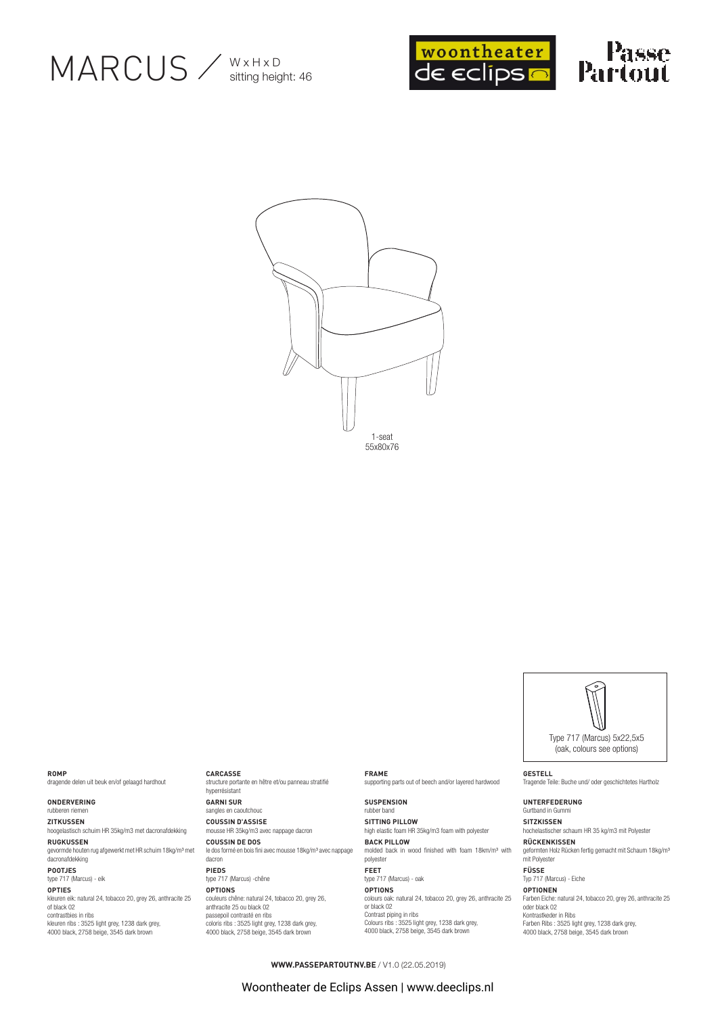





ROMP

dragende delen uit beuk en/of gelaagd hardhout

ONDERVERING rubberen riemen

## ZITKUSSEN

hoogelastisch schuim HR 35kg/m3 met dacronafdekking **RUGKUSSEN** gevormde houten rug afgewerkt met HR schuim 18kg/m<sup>3</sup> met

dacronafdekking POOTJES type 717 (Marcus) - eik

## OPTIES

kleuren eik: natural 24, tobacco 20, grey 26, anthracite 25<br>of black 02 of places of<br>contrastbies in ribs<br>kleuren ribs : 3525 light grey, 1238 dark grey,<br>4000 black, 2758 beige, 3545 dark brown

#### CARCASSE

structure portante en hêtre et/ou panneau stratifié hyperrésistant **GARNI SUR** sangles en caoutchouc **COUSSIN D'ASSISE** mousse HR 35kg/m3 avec nappage dacron **COUSSIN DE DOS** le dos formé en bois fini avec mousse 18kg/m<sup>3</sup> avec nappage dacron PIEDS type 717 (Marcus) - chêne

# **OPTIONS** couleurs chêne: natural 24, tobacco 20, grey 26,<br>anthracite 25 ou black 02

passepoil contrasté en ribs<br>coloris ribs : 3525 light grey, 1238 dark grey,<br>4000 black, 2758 beige, 3545 dark brown

#### **FRAME** supporting parts out of beech and/or layered hardwood

**SUSPENSION** rubber band **SITTING PILLOW** high elastic foam HR 35kg/m3 foam with polyester **BACK PILLOW** molded back in wood finished with foam 18km/m<sup>3</sup> with polyester FEET type 717 (Marcus) - oak **OPTIONS** colours oak: natural 24, tobacco 20, grey 26, anthracite 25<br>or black 02 Contrast piping in ribs

Colours ribs : 3525 light grey, 1238 dark grey,<br>4000 black, 2758 beige, 3545 dark brown

## **GESTELL** Tragende Teile: Buche und/ oder geschichtetes Hartholz UNTERFEDERUNG Gurtband in Gummi SITZKISSEN hochelastischer schaum HR 35 kg/m3 mit Polyester

RÜCKENKISSEN geformten Holz Rücken fertig gemacht mit Schaum 18kg/m<sup>3</sup><br>mit Polyester FÜSSE

Type 717 (Marcus) 5x22.5x5 (oak colours see options)

Typ 717 (Marcus) - Eiche OPTIONEN

Farben Eiche: natural 24, tobacco 20, grey 26, anthracite 25<br>oder black 02 coor stash or<br>Kontrastkeder in Ribs<br>Farben Ribs : 3525 light grey, 1238 dark grey, 4000 black, 2758 beige, 3545 dark brow

**WWW.PASSEPARTOUTNV.BE** / V1.0 (22.05.2019)